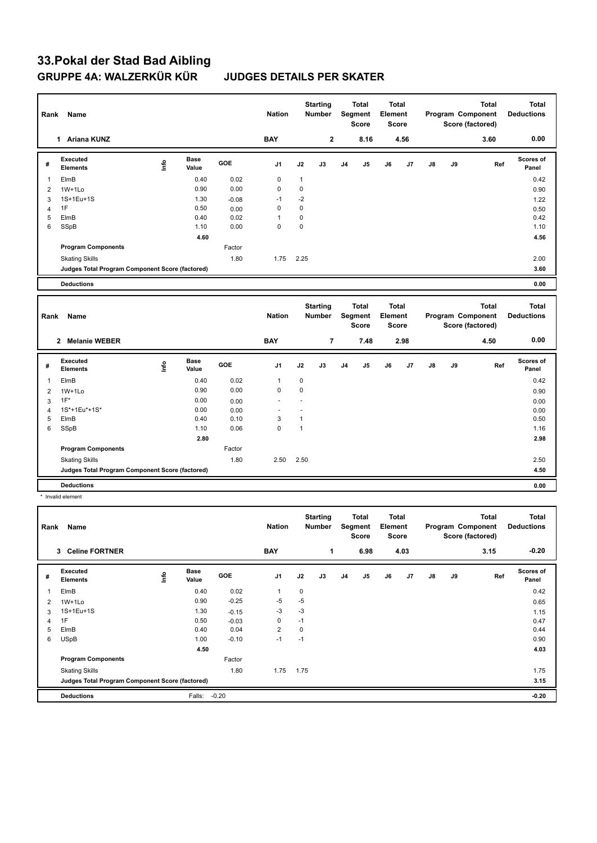# **33.Pokal der Stad Bad Aibling GRUPPE 4A: WALZERKÜR KÜR JUDGES DETAILS PER SKATER**

| Rank           | Name                                            |      |                      |         | <b>Nation</b> |              | <b>Starting</b><br><b>Number</b> |                | <b>Total</b><br>Segment<br><b>Score</b> | <b>Total</b><br>Element | Score                        |    |    | <b>Total</b><br>Program Component<br>Score (factored) | <b>Total</b><br><b>Deductions</b> |
|----------------|-------------------------------------------------|------|----------------------|---------|---------------|--------------|----------------------------------|----------------|-----------------------------------------|-------------------------|------------------------------|----|----|-------------------------------------------------------|-----------------------------------|
|                | 1 Ariana KUNZ                                   |      |                      |         | <b>BAY</b>    |              | $\mathbf{2}$                     |                | 8.16                                    |                         | 4.56                         |    |    | 3.60                                                  | 0.00                              |
| #              | <b>Executed</b><br><b>Elements</b>              | lnfo | <b>Base</b><br>Value | GOE     | J1            | J2           | J3                               | J4             | J5                                      | J6                      | J7                           | J8 | J9 | Ref                                                   | <b>Scores of</b><br>Panel         |
| $\mathbf{1}$   | ElmB                                            |      | 0.40                 | 0.02    | $\mathbf 0$   | $\mathbf{1}$ |                                  |                |                                         |                         |                              |    |    |                                                       | 0.42                              |
| $\overline{2}$ | $1W+1Lo$                                        |      | 0.90                 | 0.00    | $\mathbf 0$   | $\mathbf 0$  |                                  |                |                                         |                         |                              |    |    |                                                       | 0.90                              |
| 3              | 1S+1Eu+1S                                       |      | 1.30                 | $-0.08$ | $-1$          | $-2$         |                                  |                |                                         |                         |                              |    |    |                                                       | 1.22                              |
| $\overline{4}$ | 1F                                              |      | 0.50                 | 0.00    | $\mathbf 0$   | $\mathbf 0$  |                                  |                |                                         |                         |                              |    |    |                                                       | 0.50                              |
| 5              | ElmB                                            |      | 0.40                 | 0.02    | $\mathbf{1}$  | $\mathbf 0$  |                                  |                |                                         |                         |                              |    |    |                                                       | 0.42                              |
| 6              | SSpB                                            |      | 1.10                 | 0.00    | $\mathbf 0$   | $\mathbf 0$  |                                  |                |                                         |                         |                              |    |    |                                                       | 1.10                              |
|                |                                                 |      | 4.60                 |         |               |              |                                  |                |                                         |                         |                              |    |    |                                                       | 4.56                              |
|                | <b>Program Components</b>                       |      |                      | Factor  |               |              |                                  |                |                                         |                         |                              |    |    |                                                       |                                   |
|                | <b>Skating Skills</b>                           |      |                      | 1.80    | 1.75          | 2.25         |                                  |                |                                         |                         |                              |    |    |                                                       | 2.00                              |
|                | Judges Total Program Component Score (factored) |      |                      |         |               |              |                                  |                |                                         |                         |                              |    |    |                                                       | 3.60                              |
|                | <b>Deductions</b>                               |      |                      |         |               |              |                                  |                |                                         |                         |                              |    |    |                                                       | 0.00                              |
|                |                                                 |      |                      |         |               |              |                                  |                |                                         |                         |                              |    |    |                                                       |                                   |
|                |                                                 |      |                      |         |               |              |                                  |                |                                         |                         |                              |    |    |                                                       |                                   |
| Rank           | Name                                            |      |                      |         | <b>Nation</b> |              | <b>Starting</b><br><b>Number</b> |                | <b>Total</b><br>Segment<br><b>Score</b> | Element                 | <b>Total</b><br><b>Score</b> |    |    | <b>Total</b><br>Program Component<br>Score (factored) | <b>Total</b><br><b>Deductions</b> |
|                | 2 Melanie WEBER                                 |      |                      |         | <b>BAY</b>    |              | $\overline{7}$                   |                | 7.48                                    |                         | 2.98                         |    |    | 4.50                                                  | 0.00                              |
| #              | <b>Executed</b><br><b>Elements</b>              | lnfo | <b>Base</b><br>Value | GOE     | J1            | J2           | J3                               | J <sub>4</sub> | J5                                      | J6                      | J7                           | J8 | J9 | Ref                                                   | Scores of<br>Panel                |
| $\mathbf 1$    | ElmB                                            |      | 0.40                 | 0.02    | $\mathbf{1}$  | 0            |                                  |                |                                         |                         |                              |    |    |                                                       | 0.42                              |
| $\overline{2}$ | 1W+1Lo                                          |      | 0.90                 | 0.00    | $\mathbf 0$   | $\mathbf 0$  |                                  |                |                                         |                         |                              |    |    |                                                       | 0.90                              |
| 3              | $1F^*$                                          |      | 0.00                 | 0.00    | ÷.            | ÷.           |                                  |                |                                         |                         |                              |    |    |                                                       | 0.00                              |
| $\overline{4}$ | 1S*+1Eu*+1S*                                    |      | 0.00                 | 0.00    |               | ÷.           |                                  |                |                                         |                         |                              |    |    |                                                       | 0.00                              |
| 5              | ElmB                                            |      | 0.40                 | 0.10    | 3             | $\mathbf{1}$ |                                  |                |                                         |                         |                              |    |    |                                                       | 0.50                              |
| 6              | SSpB                                            |      | 1.10                 | 0.06    | $\mathbf 0$   | $\mathbf{1}$ |                                  |                |                                         |                         |                              |    |    |                                                       | 1.16                              |
|                |                                                 |      | 2.80                 |         |               |              |                                  |                |                                         |                         |                              |    |    |                                                       | 2.98                              |
|                | <b>Program Components</b>                       |      |                      | Factor  |               |              |                                  |                |                                         |                         |                              |    |    |                                                       |                                   |
|                | <b>Skating Skills</b>                           |      |                      | 1.80    | 2.50          | 2.50         |                                  |                |                                         |                         |                              |    |    |                                                       | 2.50                              |
|                | Judges Total Program Component Score (factored) |      |                      |         |               |              |                                  |                |                                         |                         |                              |    |    |                                                       | 4.50                              |
|                | <b>Deductions</b>                               |      |                      |         |               |              |                                  |                |                                         |                         |                              |    |    |                                                       | 0.00                              |

| Rank                    | Name                                            |      |                      |            | <b>Nation</b>  |             | <b>Starting</b><br>Number |                | Total<br>Segment<br><b>Score</b> | Total<br>Element<br><b>Score</b> |      |    |    | <b>Total</b><br>Program Component<br>Score (factored) | <b>Total</b><br><b>Deductions</b> |
|-------------------------|-------------------------------------------------|------|----------------------|------------|----------------|-------------|---------------------------|----------------|----------------------------------|----------------------------------|------|----|----|-------------------------------------------------------|-----------------------------------|
|                         | <b>Celine FORTNER</b><br>3                      |      |                      |            | <b>BAY</b>     |             | 1                         |                | 6.98                             |                                  | 4.03 |    |    | 3.15                                                  | $-0.20$                           |
| #                       | Executed<br><b>Elements</b>                     | ١nf٥ | <b>Base</b><br>Value | <b>GOE</b> | J <sub>1</sub> | J2          | J3                        | J <sub>4</sub> | J <sub>5</sub>                   | J6                               | J7   | J8 | J9 | Ref                                                   | Scores of<br>Panel                |
| $\overline{\mathbf{1}}$ | ElmB                                            |      | 0.40                 | 0.02       |                | 0           |                           |                |                                  |                                  |      |    |    |                                                       | 0.42                              |
| 2                       | $1W+1Lo$                                        |      | 0.90                 | $-0.25$    | $-5$           | $-5$        |                           |                |                                  |                                  |      |    |    |                                                       | 0.65                              |
| 3                       | 1S+1Eu+1S                                       |      | 1.30                 | $-0.15$    | $-3$           | $-3$        |                           |                |                                  |                                  |      |    |    |                                                       | 1.15                              |
| 4                       | 1F                                              |      | 0.50                 | $-0.03$    | 0              | $-1$        |                           |                |                                  |                                  |      |    |    |                                                       | 0.47                              |
| 5                       | ElmB                                            |      | 0.40                 | 0.04       | $\overline{2}$ | $\mathbf 0$ |                           |                |                                  |                                  |      |    |    |                                                       | 0.44                              |
| 6                       | <b>USpB</b>                                     |      | 1.00                 | $-0.10$    | $-1$           | $-1$        |                           |                |                                  |                                  |      |    |    |                                                       | 0.90                              |
|                         |                                                 |      | 4.50                 |            |                |             |                           |                |                                  |                                  |      |    |    |                                                       | 4.03                              |
|                         | <b>Program Components</b>                       |      |                      | Factor     |                |             |                           |                |                                  |                                  |      |    |    |                                                       |                                   |
|                         | <b>Skating Skills</b>                           |      |                      | 1.80       | 1.75           | 1.75        |                           |                |                                  |                                  |      |    |    |                                                       | 1.75                              |
|                         | Judges Total Program Component Score (factored) |      |                      |            |                |             |                           |                |                                  |                                  |      |    |    |                                                       | 3.15                              |
|                         | <b>Deductions</b>                               |      | Falls:               | $-0.20$    |                |             |                           |                |                                  |                                  |      |    |    |                                                       | $-0.20$                           |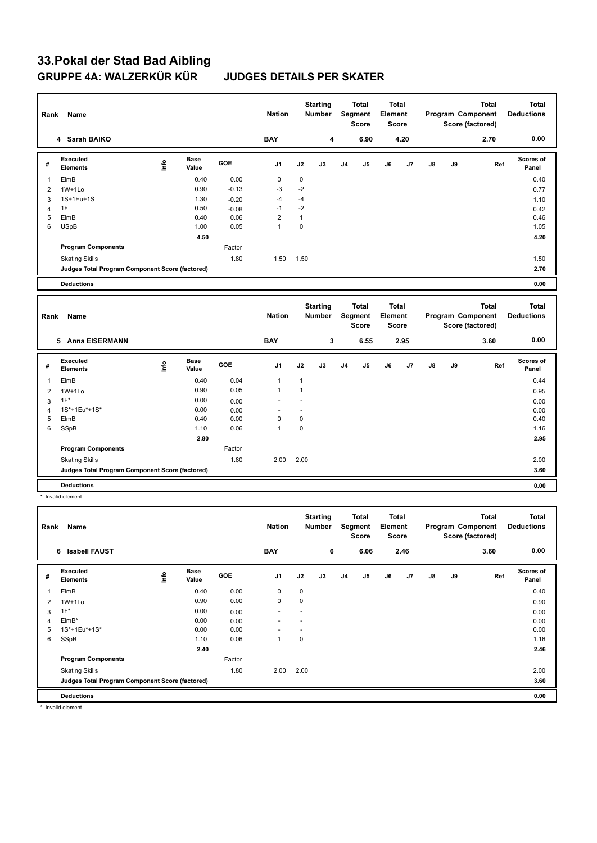# **33.Pokal der Stad Bad Aibling GRUPPE 4A: WALZERKÜR KÜR JUDGES DETAILS PER SKATER**

| Rank           | Name                                            |            |                      |         | <b>Nation</b>  |                      | <b>Starting</b><br>Number        |                | <b>Total</b><br>Segment<br><b>Score</b> | <b>Total</b><br>Element                 | <b>Score</b> |    |    | <b>Total</b><br>Program Component<br>Score (factored) | <b>Total</b><br><b>Deductions</b> |
|----------------|-------------------------------------------------|------------|----------------------|---------|----------------|----------------------|----------------------------------|----------------|-----------------------------------------|-----------------------------------------|--------------|----|----|-------------------------------------------------------|-----------------------------------|
|                | 4 Sarah BAIKO                                   |            |                      |         | <b>BAY</b>     |                      | 4                                |                | 6.90                                    |                                         | 4.20         |    |    | 2.70                                                  | 0.00                              |
| #              | <b>Executed</b><br><b>Elements</b>              | <u>t</u> o | <b>Base</b><br>Value | GOE     | J <sub>1</sub> | J2                   | J3                               | J <sub>4</sub> | J <sub>5</sub>                          | J6                                      | J7           | J8 | J9 | Ref                                                   | <b>Scores of</b><br>Panel         |
| $\mathbf{1}$   | ElmB                                            |            | 0.40                 | 0.00    | $\mathbf 0$    | $\mathbf 0$          |                                  |                |                                         |                                         |              |    |    |                                                       | 0.40                              |
| $\overline{2}$ | $1W+1Lo$                                        |            | 0.90                 | $-0.13$ | $-3$           | $-2$                 |                                  |                |                                         |                                         |              |    |    |                                                       | 0.77                              |
| 3              | 1S+1Eu+1S                                       |            | 1.30                 | $-0.20$ | $-4$           | $-4$                 |                                  |                |                                         |                                         |              |    |    |                                                       | 1.10                              |
| $\overline{4}$ | 1F                                              |            | 0.50                 | $-0.08$ | $-1$           | $-2$                 |                                  |                |                                         |                                         |              |    |    |                                                       | 0.42                              |
| 5              | ElmB                                            |            | 0.40                 | 0.06    | $\overline{2}$ | $\mathbf{1}$         |                                  |                |                                         |                                         |              |    |    |                                                       | 0.46                              |
| 6              | <b>USpB</b>                                     |            | 1.00                 | 0.05    | $\mathbf{1}$   | $\mathbf 0$          |                                  |                |                                         |                                         |              |    |    |                                                       | 1.05                              |
|                |                                                 |            | 4.50                 |         |                |                      |                                  |                |                                         |                                         |              |    |    |                                                       | 4.20                              |
|                | <b>Program Components</b>                       |            |                      | Factor  |                |                      |                                  |                |                                         |                                         |              |    |    |                                                       |                                   |
|                | <b>Skating Skills</b>                           |            |                      | 1.80    | 1.50           | 1.50                 |                                  |                |                                         |                                         |              |    |    |                                                       | 1.50                              |
|                | Judges Total Program Component Score (factored) |            |                      |         |                |                      |                                  |                |                                         |                                         |              |    |    |                                                       | 2.70                              |
|                | <b>Deductions</b>                               |            |                      |         |                |                      |                                  |                |                                         |                                         |              |    |    |                                                       | 0.00                              |
|                |                                                 |            |                      |         |                |                      |                                  |                |                                         |                                         |              |    |    |                                                       |                                   |
|                |                                                 |            |                      |         |                |                      |                                  |                |                                         |                                         |              |    |    |                                                       |                                   |
| Rank           | Name                                            |            |                      |         | <b>Nation</b>  |                      | <b>Starting</b><br><b>Number</b> |                | <b>Total</b><br>Segment<br><b>Score</b> | <b>Total</b><br>Element<br><b>Score</b> |              |    |    | <b>Total</b><br>Program Component<br>Score (factored) | <b>Total</b><br><b>Deductions</b> |
|                | 5 Anna EISERMANN                                |            |                      |         | <b>BAY</b>     |                      | 3                                |                | 6.55                                    |                                         | 2.95         |    |    | 3.60                                                  | 0.00                              |
| #              | <b>Executed</b><br><b>Elements</b>              | <u>t</u> o | <b>Base</b><br>Value | GOE     | J <sub>1</sub> | J2                   | J3                               | J <sub>4</sub> | J5                                      | J6                                      | J7           | J8 | J9 | Ref                                                   | Scores of<br>Panel                |
| $\mathbf{1}$   | ElmB                                            |            | 0.40                 | 0.04    | $\mathbf{1}$   | $\mathbf{1}$         |                                  |                |                                         |                                         |              |    |    |                                                       | 0.44                              |
| $\overline{2}$ | $1W+1Lo$                                        |            | 0.90                 | 0.05    | $\mathbf{1}$   | $\mathbf{1}$         |                                  |                |                                         |                                         |              |    |    |                                                       | 0.95                              |
| 3              | $1F^*$                                          |            | 0.00                 | 0.00    | L.             | $\ddot{\phantom{1}}$ |                                  |                |                                         |                                         |              |    |    |                                                       | 0.00                              |
| $\overline{4}$ | 1S*+1Eu*+1S*                                    |            | 0.00                 | 0.00    | ä,             | ÷.                   |                                  |                |                                         |                                         |              |    |    |                                                       | 0.00                              |
| 5              | ElmB                                            |            | 0.40                 | 0.00    | $\mathbf 0$    | $\mathbf 0$          |                                  |                |                                         |                                         |              |    |    |                                                       | 0.40                              |
| 6              | SSpB                                            |            | 1.10                 | 0.06    | $\mathbf{1}$   | $\mathbf 0$          |                                  |                |                                         |                                         |              |    |    |                                                       | 1.16                              |
|                |                                                 |            | 2.80                 |         |                |                      |                                  |                |                                         |                                         |              |    |    |                                                       | 2.95                              |
|                | <b>Program Components</b>                       |            |                      | Factor  |                |                      |                                  |                |                                         |                                         |              |    |    |                                                       |                                   |
|                | <b>Skating Skills</b>                           |            |                      | 1.80    | 2.00           | 2.00                 |                                  |                |                                         |                                         |              |    |    |                                                       | 2.00                              |
|                | Judges Total Program Component Score (factored) |            |                      |         |                |                      |                                  |                |                                         |                                         |              |    |    |                                                       | 3.60                              |
|                | <b>Deductions</b>                               |            |                      |         |                |                      |                                  |                |                                         |                                         |              |    |    |                                                       | 0.00                              |

| Rank                    | Name                                            |      |                      |            | <b>Nation</b>  |             | <b>Starting</b><br><b>Number</b> |                | Total<br>Segment<br><b>Score</b> | <b>Total</b><br>Element<br>Score |      |               |    | <b>Total</b><br>Program Component<br>Score (factored) | <b>Total</b><br><b>Deductions</b> |
|-------------------------|-------------------------------------------------|------|----------------------|------------|----------------|-------------|----------------------------------|----------------|----------------------------------|----------------------------------|------|---------------|----|-------------------------------------------------------|-----------------------------------|
|                         | 6 Isabell FAUST                                 |      |                      |            | <b>BAY</b>     |             | 6                                |                | 6.06                             |                                  | 2.46 |               |    | 3.60                                                  | 0.00                              |
| #                       | Executed<br><b>Elements</b>                     | lnfo | <b>Base</b><br>Value | <b>GOE</b> | J <sub>1</sub> | J2          | J3                               | J <sub>4</sub> | J <sub>5</sub>                   | J6                               | J7   | $\mathsf{J}8$ | J9 | Ref                                                   | Scores of<br>Panel                |
| $\overline{\mathbf{1}}$ | ElmB                                            |      | 0.40                 | 0.00       | 0              | 0           |                                  |                |                                  |                                  |      |               |    |                                                       | 0.40                              |
| 2                       | $1W+1Lo$                                        |      | 0.90                 | 0.00       | 0              | 0           |                                  |                |                                  |                                  |      |               |    |                                                       | 0.90                              |
| 3                       | $1F^*$                                          |      | 0.00                 | 0.00       | ۰              |             |                                  |                |                                  |                                  |      |               |    |                                                       | 0.00                              |
| 4                       | $EIMB*$                                         |      | 0.00                 | 0.00       |                |             |                                  |                |                                  |                                  |      |               |    |                                                       | 0.00                              |
| 5                       | 1S*+1Eu*+1S*                                    |      | 0.00                 | 0.00       |                |             |                                  |                |                                  |                                  |      |               |    |                                                       | 0.00                              |
| 6                       | SSpB                                            |      | 1.10                 | 0.06       | -1             | $\mathbf 0$ |                                  |                |                                  |                                  |      |               |    |                                                       | 1.16                              |
|                         |                                                 |      | 2.40                 |            |                |             |                                  |                |                                  |                                  |      |               |    |                                                       | 2.46                              |
|                         | <b>Program Components</b>                       |      |                      | Factor     |                |             |                                  |                |                                  |                                  |      |               |    |                                                       |                                   |
|                         | <b>Skating Skills</b>                           |      |                      | 1.80       | 2.00           | 2.00        |                                  |                |                                  |                                  |      |               |    |                                                       | 2.00                              |
|                         | Judges Total Program Component Score (factored) |      |                      |            |                |             |                                  |                |                                  |                                  |      |               |    |                                                       | 3.60                              |
|                         | <b>Deductions</b>                               |      |                      |            |                |             |                                  |                |                                  |                                  |      |               |    |                                                       | 0.00                              |

\* Invalid element